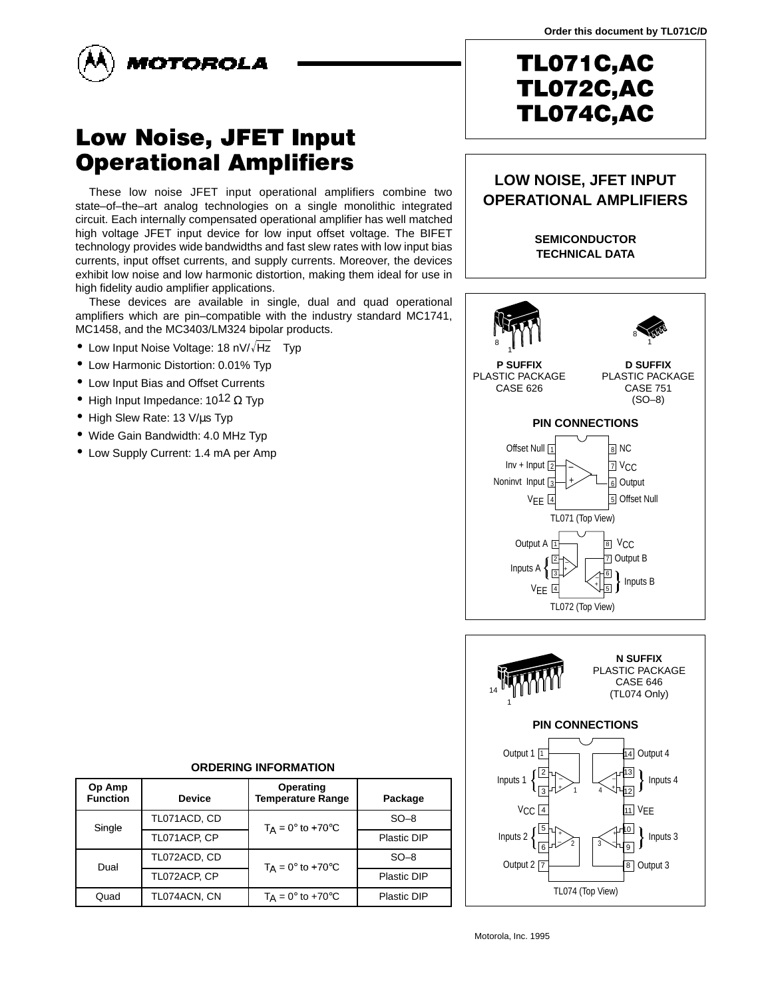

# Low Noise, JFET Input **Operational Amplifiers**

These low noise JFET input operational amplifiers combine two state–of–the–art analog technologies on a single monolithic integrated circuit. Each internally compensated operational amplifier has well matched high voltage JFET input device for low input offset voltage. The BIFET technology provides wide bandwidths and fast slew rates with low input bias currents, input offset currents, and supply currents. Moreover, the devices exhibit low noise and low harmonic distortion, making them ideal for use in high fidelity audio amplifier applications.

These devices are available in single, dual and quad operational amplifiers which are pin–compatible with the industry standard MC1741, MC1458, and the MC3403/LM324 bipolar products.

- Low Input Noise Voltage: 18 nV/ $\sqrt{Hz}$  Typ
- Low Harmonic Distortion: 0.01% Typ
- Low Input Bias and Offset Currents
- High Input Impedance:  $10^{12} \Omega$  Typ
- High Slew Rate: 13 V/µs Typ
- Wide Gain Bandwidth: 4.0 MHz Typ
- Low Supply Current: 1.4 mA per Amp

### **LOW NOISE, JFET INPUT OPERATIONAL AMPLIFIERS**

**SEMICONDUCTOR TECHNICAL DATA**





#### **ORDERING INFORMATION**

| Op Amp<br><b>Function</b> | <b>Device</b> | Operating<br><b>Temperature Range</b> | Package     |
|---------------------------|---------------|---------------------------------------|-------------|
| Single                    | TL071ACD, CD  | $T_A = 0^\circ$ to +70 $^\circ$ C     | $SO-8$      |
|                           | TL071ACP, CP  |                                       | Plastic DIP |
| Dual                      | TL072ACD, CD  | $T_A = 0^\circ$ to +70 $^\circ$ C     | $SO-8$      |
|                           | TL072ACP, CP  |                                       | Plastic DIP |
| Quad                      | TL074ACN, CN  | $T_A = 0^\circ$ to +70 $\circ$ C      | Plastic DIP |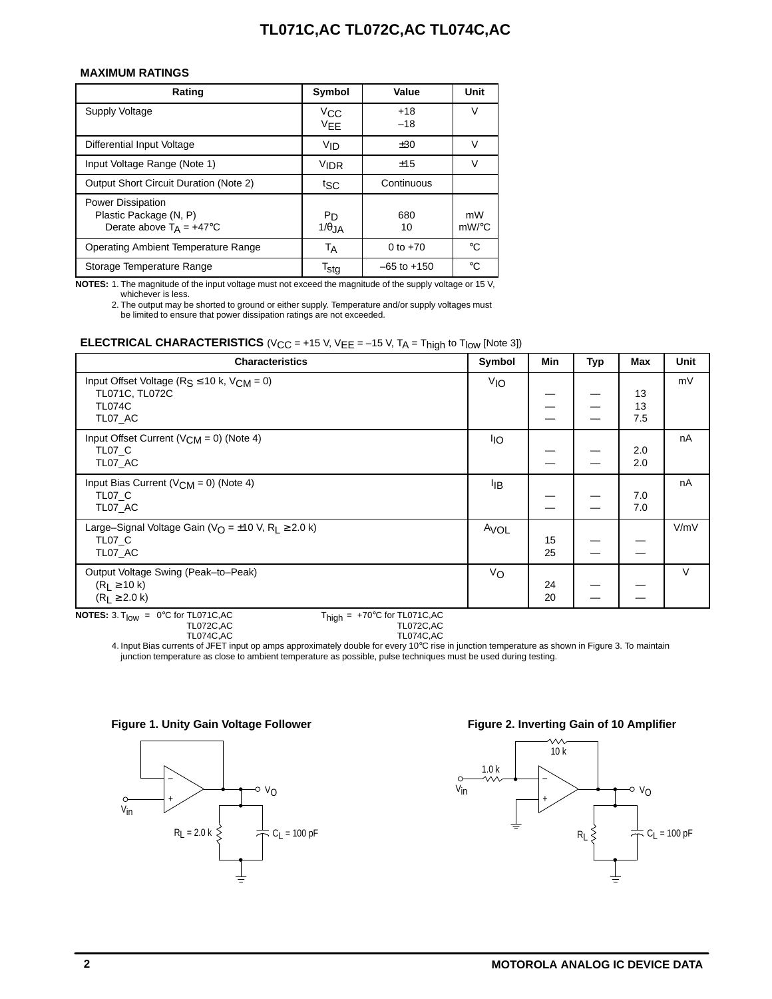#### **MAXIMUM RATINGS**

| Rating                                                                                  | Symbol                      | Value           | Unit        |
|-----------------------------------------------------------------------------------------|-----------------------------|-----------------|-------------|
| Supply Voltage                                                                          | $V_{\rm CC}$<br><b>VEE</b>  | $+18$<br>$-18$  | $\vee$      |
| Differential Input Voltage                                                              | VID                         | ±30             |             |
| Input Voltage Range (Note 1)                                                            | <b>VIDR</b>                 | ±15             |             |
| <b>Output Short Circuit Duration (Note 2)</b>                                           | tsc                         | Continuous      |             |
| <b>Power Dissipation</b><br>Plastic Package (N, P)<br>Derate above $T_A = +47^{\circ}C$ | Pn<br>$1/\theta$ JA         | 680<br>10       | mW<br>mW/°C |
| <b>Operating Ambient Temperature Range</b>                                              | ТA                          | 0 to $+70$      | $^{\circ}C$ |
| Storage Temperature Range                                                               | $\mathsf{T}_{\mathsf{Std}}$ | $-65$ to $+150$ | °C          |

**NOTES:** 1. The magnitude of the input voltage must not exceed the magnitude of the supply voltage or 15 V,

whichever is less.

2. The output may be shorted to ground or either supply. Temperature and/or supply voltages must be limited to ensure that power dissipation ratings are not exceeded.

#### **ELECTRICAL CHARACTERISTICS** ( $V_{CC}$  = +15 V,  $V_{EE}$  = -15 V,  $T_A$  =  $T_{high}$  to  $T_{low}$  [Note 3])

| <b>Characteristics</b>                                                     | Symbol           | Min | Typ | Max | Unit |
|----------------------------------------------------------------------------|------------------|-----|-----|-----|------|
| Input Offset Voltage ( $R_S \le 10$ k, $V_{CM} = 0$ )                      | V <sub>IO</sub>  |     |     |     | mV   |
| TL071C, TL072C                                                             |                  |     |     | 13  |      |
| <b>TL074C</b>                                                              |                  |     |     | 13  |      |
| TL07 AC                                                                    |                  |     |     | 7.5 |      |
| Input Offset Current ( $V_{CM} = 0$ ) (Note 4)                             | <sup>I</sup> IO  |     |     |     | nA   |
| TL07 C                                                                     |                  |     |     | 2.0 |      |
| TL07 AC                                                                    |                  |     |     | 2.0 |      |
| Input Bias Current ( $V_{CM}$ = 0) (Note 4)                                | ŀıв              |     |     |     | nA   |
| TL07 C                                                                     |                  |     |     | 7.0 |      |
| TL07 AC                                                                    |                  |     |     | 7.0 |      |
| Large-Signal Voltage Gain ( $V_O = \pm 10$ V, R <sub>1</sub> $\geq$ 2.0 k) | A <sub>VOL</sub> |     |     |     | V/mV |
| TL07 C                                                                     |                  | 15  |     |     |      |
| TL07 AC                                                                    |                  | 25  |     |     |      |
| Output Voltage Swing (Peak-to-Peak)                                        | Vo               |     |     |     | V    |
| $(R_L \ge 10 k)$                                                           |                  | 24  |     |     |      |
| $(R1 \ge 2.0 k)$                                                           |                  | 20  |     |     |      |

**NOTES:**  $3. T_{\text{low}} = 0^{\circ}C$  for TL071C,AC<br>TL072C,AC

TL074C,AC

 $T_{\text{high}} = +70^{\circ}C$  for TL071C,AC<br>TL072C,AC<br>TL074C,AC

4. Input Bias currents of JFET input op amps approximately double for every 10°C rise in junction temperature as shown in Figure 3. To maintain junction temperature as close to ambient temperature as possible, pulse techniques must be used during testing.





#### Figure 1. Unity Gain Voltage Follower **Figure 2. Inverting Gain of 10 Amplifier**

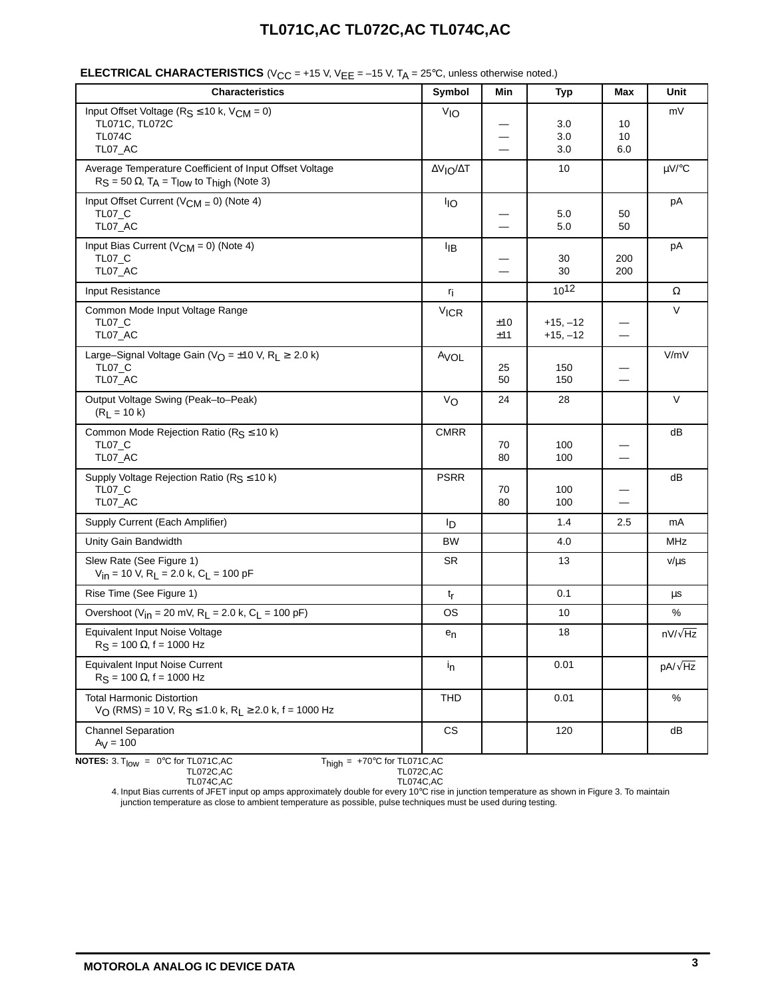| <b>Characteristics</b>                                                                                                        | Symbol                | Min                      | <b>Typ</b>               | Max                              | Unit            |
|-------------------------------------------------------------------------------------------------------------------------------|-----------------------|--------------------------|--------------------------|----------------------------------|-----------------|
| Input Offset Voltage ( $R_S \le 10$ k, $V_{CM} = 0$ )<br>TL071C, TL072C<br><b>TL074C</b><br>TL07_AC                           | V <sub>IO</sub>       |                          | 3.0<br>3.0<br>3.0        | 10<br>10<br>6.0                  | mV              |
| Average Temperature Coefficient of Input Offset Voltage<br>$R_S = 50 \Omega$ , $T_A = T_{low}$ to $T_{high}$ (Note 3)         | ΔV <sub>IO</sub> /ΔT  |                          | 10                       |                                  | $\mu V$ /°C     |
| Input Offset Current ( $V_{CM} = 0$ ) (Note 4)<br><b>TL07_C</b><br>TL07_AC                                                    | <b>I<sub>IO</sub></b> |                          | 5.0<br>5.0               | 50<br>50                         | pA              |
| Input Bias Current ( $V_{CM} = 0$ ) (Note 4)<br><b>TL07 C</b><br>TL07_AC                                                      | ŀјв                   |                          | 30<br>30                 | 200<br>200                       | pA              |
| Input Resistance                                                                                                              | r <sub>i</sub>        |                          | $10^{12}$                |                                  | $\Omega$        |
| Common Mode Input Voltage Range<br><b>TL07_C</b><br>TL07_AC                                                                   | <b>VICR</b>           | ±10<br>±11               | $+15, -12$<br>$+15, -12$ | $\overbrace{\phantom{12322111}}$ | V               |
| Large-Signal Voltage Gain ( $V_O = \pm 10$ V, R <sub>I</sub> $\geq 2.0$ k)<br><b>TL07_C</b><br>TL07_AC                        | AVOL                  | 25<br>50                 | 150<br>150               | $\overline{\phantom{0}}$         | V/mV            |
| Output Voltage Swing (Peak-to-Peak)<br>$(R_L = 10 k)$                                                                         | Vo                    | 24                       | 28                       |                                  | V               |
| Common Mode Rejection Ratio ( $R_S \le 10$ k)<br><b>TL07_C</b><br>TL07_AC                                                     | <b>CMRR</b>           | 70<br>80                 | 100<br>100               | $\overline{\phantom{0}}$         | dB              |
| Supply Voltage Rejection Ratio ( $R_S \le 10$ k)<br><b>TL07_C</b><br>TL07_AC                                                  | <b>PSRR</b>           | 70<br>80                 | 100<br>100               |                                  | dB              |
| Supply Current (Each Amplifier)                                                                                               | Iр                    |                          | 1.4                      | 2.5                              | mA              |
| Unity Gain Bandwidth                                                                                                          | BW                    |                          | 4.0                      | $\overline{\phantom{0}}$         | MHz             |
| Slew Rate (See Figure 1)<br>$V_{in}$ = 10 V, R <sub>L</sub> = 2.0 k, C <sub>L</sub> = 100 pF                                  | <b>SR</b>             | $\overline{\phantom{0}}$ | 13                       | $\overbrace{\phantom{aaaaa}}$    | $v/\mu s$       |
| Rise Time (See Figure 1)                                                                                                      | $t_{r}$               |                          | 0.1                      |                                  | μs              |
| Overshoot (V <sub>in</sub> = 20 mV, R <sub>1</sub> = 2.0 k, C <sub>1</sub> = 100 pF)                                          | OS                    |                          | 10                       |                                  | %               |
| Equivalent Input Noise Voltage<br>$R_S = 100 \Omega$ , f = 1000 Hz                                                            | $e_n$                 |                          | 18                       |                                  | $nV/\sqrt{Hz}$  |
| <b>Equivalent Input Noise Current</b><br>$R_S = 100 \Omega$ , f = 1000 Hz                                                     | $i_{n}$               |                          | 0.01                     |                                  | pA/ $\sqrt{Hz}$ |
| <b>Total Harmonic Distortion</b><br>$V_O$ (RMS) = 10 V, R <sub>S</sub> $\leq$ 1.0 k, R <sub>L</sub> $\geq$ 2.0 k, f = 1000 Hz | <b>THD</b>            |                          | 0.01                     |                                  | $\%$            |
| <b>Channel Separation</b><br>$Ay = 100$                                                                                       | CS                    |                          | 120                      |                                  | dB              |
| <b>NOTES:</b> 3. $T_{\text{low}} = 0$ °C for TL071C, AC<br>$T_{\text{high}} = +70^{\circ}$ C for TL071C, AC<br>TL072C,AC      | <b>TL072C, AC</b>     |                          |                          |                                  |                 |

## **ELECTRICAL CHARACTERISTICS** (V<sub>CC</sub> = +15 V, V<sub>EE</sub> = -15 V, T<sub>A</sub> = 25°C, unless otherwise noted.)

$$
0^{\circ}C \text{ for TL071C,AC} \qquad \qquad T_{\text{high}} = +70^{\circ}C \text{ for TL071C,AC} \qquad \qquad T_{\text{LO72C,AC}}
$$

0°C for TL074C,AC +70°C for TL074C,AC

4. Input Bias currents of JFET input op amps approximately double for every 10°C rise in junction temperature as shown in Figure 3. To maintain junction temperature as close to ambient temperature as possible, pulse techniques must be used during testing.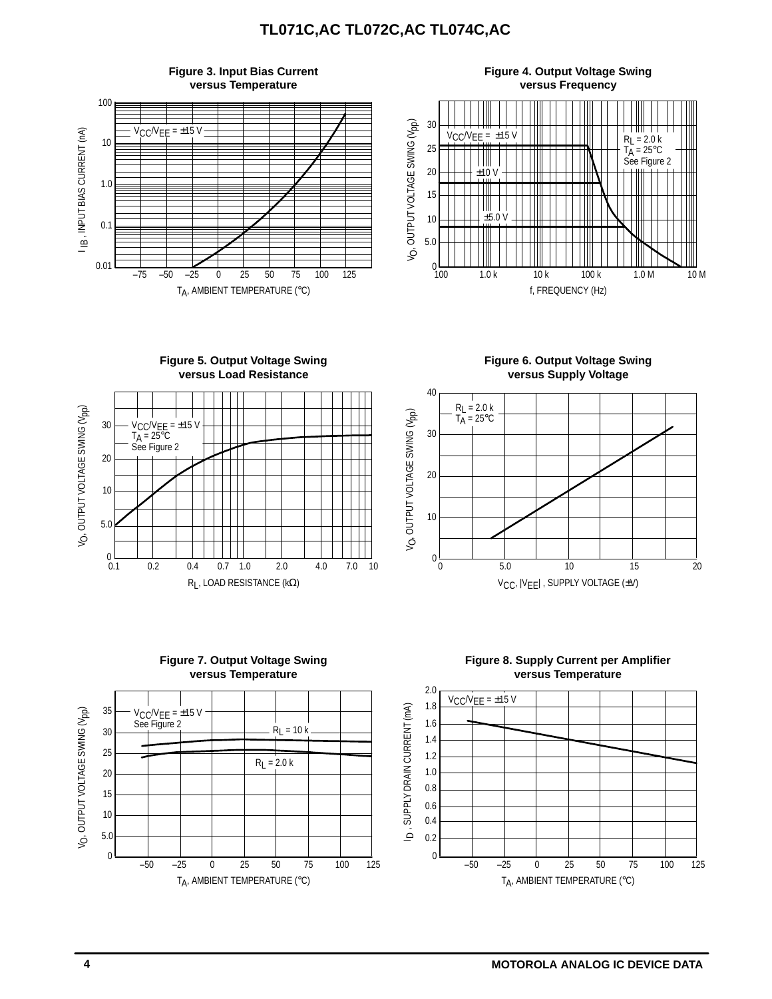







**Figure 6. Output Voltage Swing versus Supply Voltage**





**Figure 8. Supply Current per Amplifier versus Temperature**

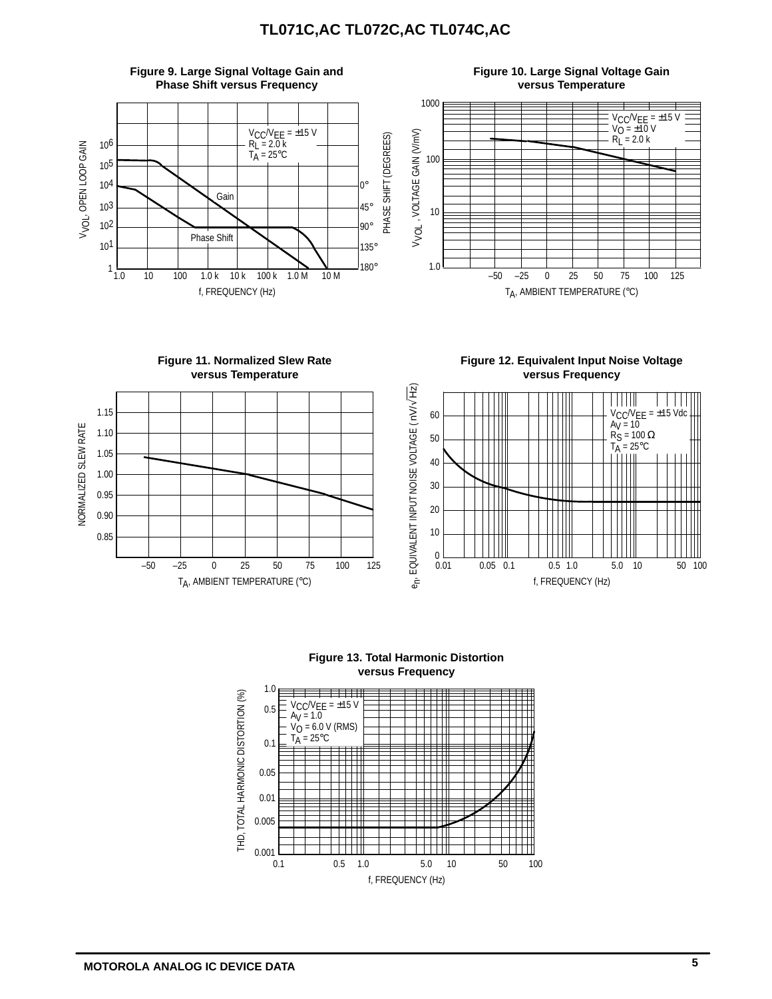



**versus Frequency**



**Figure 13. Total Harmonic Distortion versus Frequency**

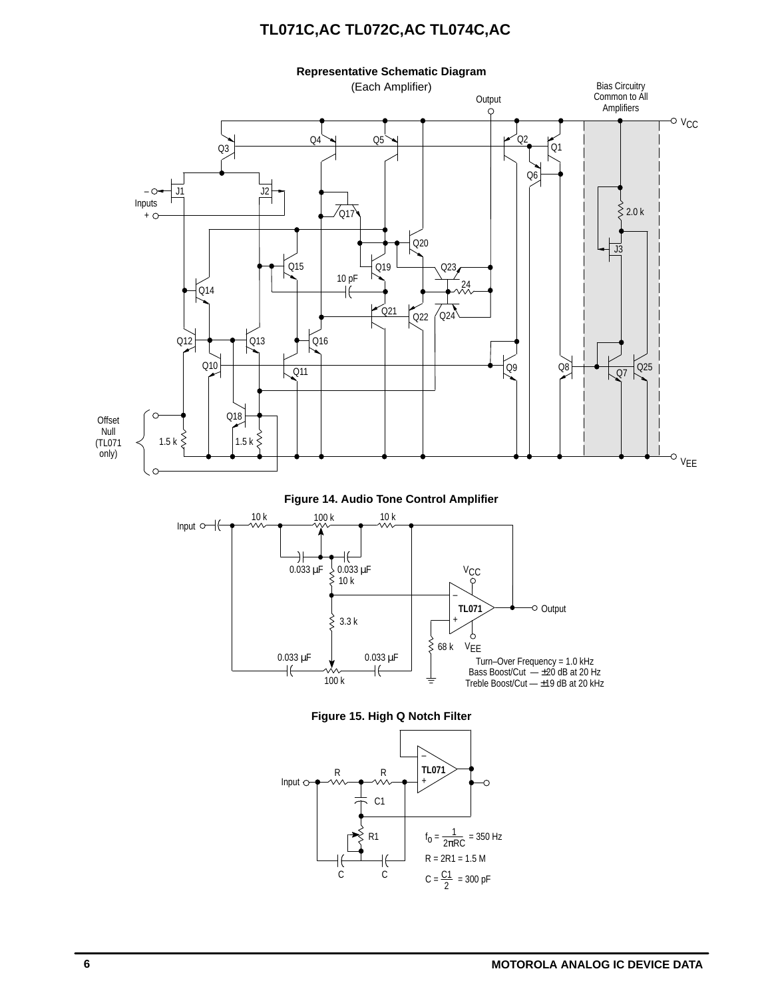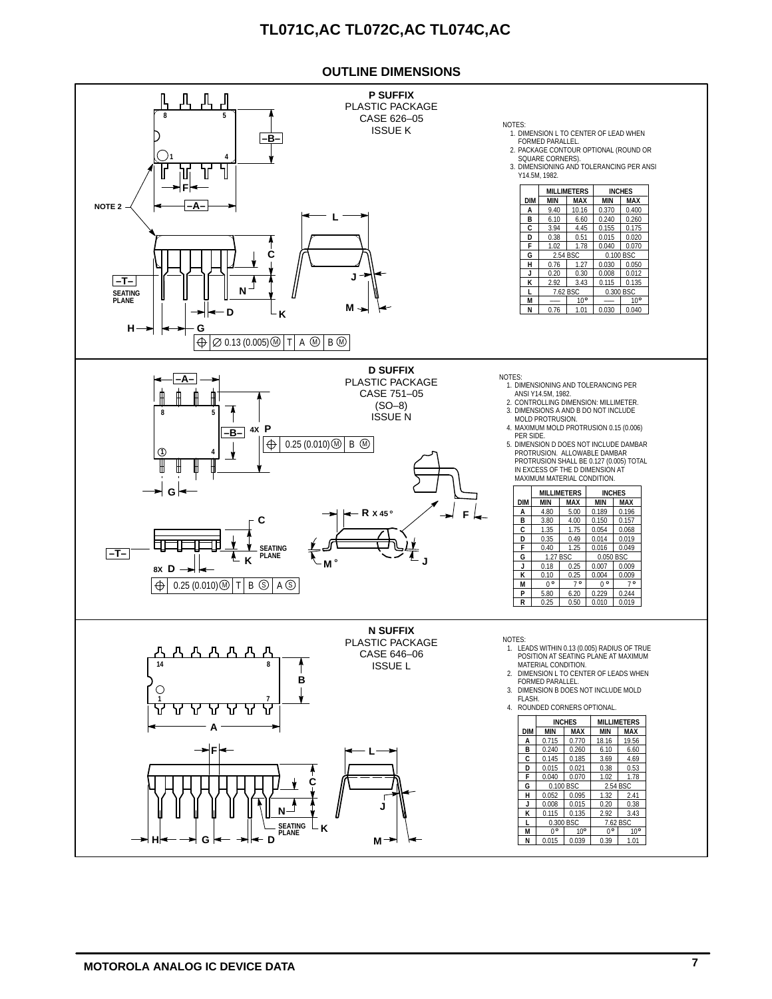#### **OUTLINE DIMENSIONS**